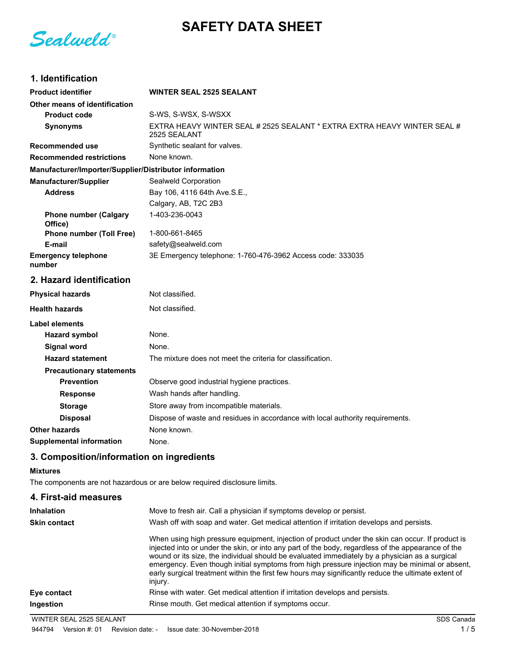# **SAFETY DATA SHEET**

Sealweld®

## **1. Identification**

| <b>Product identifier</b>                              | <b>WINTER SEAL 2525 SEALANT</b>                                                          |
|--------------------------------------------------------|------------------------------------------------------------------------------------------|
| Other means of identification                          |                                                                                          |
| <b>Product code</b>                                    | S-WS, S-WSX, S-WSXX                                                                      |
| <b>Synonyms</b>                                        | EXTRA HEAVY WINTER SEAL # 2525 SEALANT * EXTRA EXTRA HEAVY WINTER SEAL #<br>2525 SEALANT |
| <b>Recommended use</b>                                 | Synthetic sealant for valves.                                                            |
| <b>Recommended restrictions</b>                        | None known.                                                                              |
| Manufacturer/Importer/Supplier/Distributor information |                                                                                          |
| <b>Manufacturer/Supplier</b>                           | Sealweld Corporation                                                                     |
| <b>Address</b>                                         | Bay 106, 4116 64th Ave.S.E.,                                                             |
|                                                        | Calgary, AB, T2C 2B3                                                                     |
| <b>Phone number (Calgary</b><br>Office)                | 1-403-236-0043                                                                           |
| <b>Phone number (Toll Free)</b>                        | 1-800-661-8465                                                                           |
| E-mail                                                 | safety@sealweld.com                                                                      |
| <b>Emergency telephone</b><br>number                   | 3E Emergency telephone: 1-760-476-3962 Access code: 333035                               |
| 2. Hazard identification                               |                                                                                          |
| <b>Physical hazards</b>                                | Not classified.                                                                          |
| <b>Health hazards</b>                                  | Not classified.                                                                          |
| <b>Label elements</b>                                  |                                                                                          |
| <b>Hazard symbol</b>                                   | None.                                                                                    |
| <b>Signal word</b>                                     | None.                                                                                    |
| <b>Hazard statement</b>                                | The mixture does not meet the criteria for classification.                               |
| <b>Precautionary statements</b>                        |                                                                                          |
| <b>Prevention</b>                                      | Observe good industrial hygiene practices.                                               |
| <b>Response</b>                                        | Wash hands after handling.                                                               |
| <b>Storage</b>                                         | Store away from incompatible materials.                                                  |
| <b>Disposal</b>                                        | Dispose of waste and residues in accordance with local authority requirements.           |
| Other hazards                                          | None known.                                                                              |
| <b>Supplemental information</b>                        | None.                                                                                    |

## **3. Composition/information on ingredients**

#### **Mixtures**

The components are not hazardous or are below required disclosure limits.

| 4. First-aid measures |                                                                                                                                                                                                                                                                                                                                                                                                                                                                                                                              |
|-----------------------|------------------------------------------------------------------------------------------------------------------------------------------------------------------------------------------------------------------------------------------------------------------------------------------------------------------------------------------------------------------------------------------------------------------------------------------------------------------------------------------------------------------------------|
| <b>Inhalation</b>     | Move to fresh air. Call a physician if symptoms develop or persist.                                                                                                                                                                                                                                                                                                                                                                                                                                                          |
| <b>Skin contact</b>   | Wash off with soap and water. Get medical attention if irritation develops and persists.                                                                                                                                                                                                                                                                                                                                                                                                                                     |
|                       | When using high pressure equipment, injection of product under the skin can occur. If product is<br>injected into or under the skin, or into any part of the body, regardless of the appearance of the<br>wound or its size, the individual should be evaluated immediately by a physician as a surgical<br>emergency. Even though initial symptoms from high pressure injection may be minimal or absent,<br>early surgical treatment within the first few hours may significantly reduce the ultimate extent of<br>injury. |
| Eye contact           | Rinse with water. Get medical attention if irritation develops and persists.                                                                                                                                                                                                                                                                                                                                                                                                                                                 |
| Ingestion             | Rinse mouth. Get medical attention if symptoms occur.                                                                                                                                                                                                                                                                                                                                                                                                                                                                        |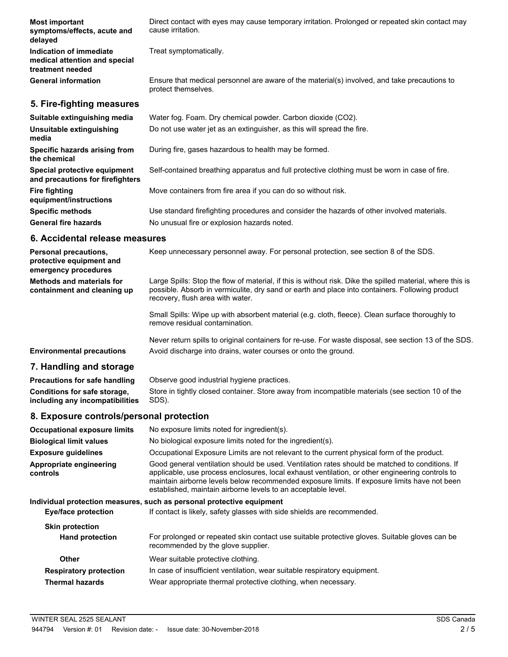| <b>Most important</b><br>symptoms/effects, acute and<br>delayed              | Direct contact with eyes may cause temporary irritation. Prolonged or repeated skin contact may<br>cause irritation. |
|------------------------------------------------------------------------------|----------------------------------------------------------------------------------------------------------------------|
| Indication of immediate<br>medical attention and special<br>treatment needed | Treat symptomatically.                                                                                               |
| <b>General information</b>                                                   | Ensure that medical personnel are aware of the material(s) involved, and take precautions to<br>protect themselves.  |
| 5. Fire-fighting measures                                                    |                                                                                                                      |
| Suitable extinguishing media                                                 | Water fog. Foam. Dry chemical powder. Carbon dioxide (CO2).                                                          |
| Unsuitable extinguishing<br>media                                            | Do not use water jet as an extinguisher, as this will spread the fire.                                               |
| Specific hazards arising from<br>the chemical                                | During fire, gases hazardous to health may be formed.                                                                |

**Special protective equipment** Self-contained breathing apparatus and full protective clothing must be worn in case of fire. **and precautions for firefighters**

**Fire fighting** Move containers from fire area if you can do so without risk.

**Specific methods** Use standard firefighting procedures and consider the hazards of other involved materials. General fire hazards **No unusual fire or explosion hazards noted.** 

#### **6. Accidental release measures**

**equipment/instructions**

| Personal precautions,<br>protective equipment and<br>emergency procedures | Keep unnecessary personnel away. For personal protection, see section 8 of the SDS.                                                                                                                                                               |
|---------------------------------------------------------------------------|---------------------------------------------------------------------------------------------------------------------------------------------------------------------------------------------------------------------------------------------------|
| Methods and materials for<br>containment and cleaning up                  | Large Spills: Stop the flow of material, if this is without risk. Dike the spilled material, where this is<br>possible. Absorb in vermiculite, dry sand or earth and place into containers. Following product<br>recovery, flush area with water. |
|                                                                           | Small Spills: Wipe up with absorbent material (e.g. cloth, fleece). Clean surface thoroughly to<br>remove residual contamination.                                                                                                                 |
|                                                                           | Never return spills to original containers for re-use. For waste disposal, see section 13 of the SDS.                                                                                                                                             |

**Environmental precautions** Avoid discharge into drains, water courses or onto the ground.

#### **7. Handling and storage**

**Precautions for safe handling** Observe good industrial hygiene practices. Store in tightly closed container. Store away from incompatible materials (see section 10 of the SDS). **Conditions for safe storage, including any incompatibilities**

#### **8. Exposure controls/personal protection**

| <b>Occupational exposure limits</b> | No exposure limits noted for ingredient(s).                                                                                                                                                                                                                                                                                                                        |
|-------------------------------------|--------------------------------------------------------------------------------------------------------------------------------------------------------------------------------------------------------------------------------------------------------------------------------------------------------------------------------------------------------------------|
| <b>Biological limit values</b>      | No biological exposure limits noted for the ingredient(s).                                                                                                                                                                                                                                                                                                         |
| <b>Exposure guidelines</b>          | Occupational Exposure Limits are not relevant to the current physical form of the product.                                                                                                                                                                                                                                                                         |
| Appropriate engineering<br>controls | Good general ventilation should be used. Ventilation rates should be matched to conditions. If<br>applicable, use process enclosures, local exhaust ventilation, or other engineering controls to<br>maintain airborne levels below recommended exposure limits. If exposure limits have not been<br>established, maintain airborne levels to an acceptable level. |
|                                     | Individual protection measures, such as personal protective equipment                                                                                                                                                                                                                                                                                              |
| Eye/face protection                 | If contact is likely, safety glasses with side shields are recommended.                                                                                                                                                                                                                                                                                            |
| <b>Skin protection</b>              |                                                                                                                                                                                                                                                                                                                                                                    |
| <b>Hand protection</b>              | For prolonged or repeated skin contact use suitable protective gloves. Suitable gloves can be<br>recommended by the glove supplier.                                                                                                                                                                                                                                |
| <b>Other</b>                        | Wear suitable protective clothing.                                                                                                                                                                                                                                                                                                                                 |
| <b>Respiratory protection</b>       | In case of insufficient ventilation, wear suitable respiratory equipment.                                                                                                                                                                                                                                                                                          |
| <b>Thermal hazards</b>              | Wear appropriate thermal protective clothing, when necessary.                                                                                                                                                                                                                                                                                                      |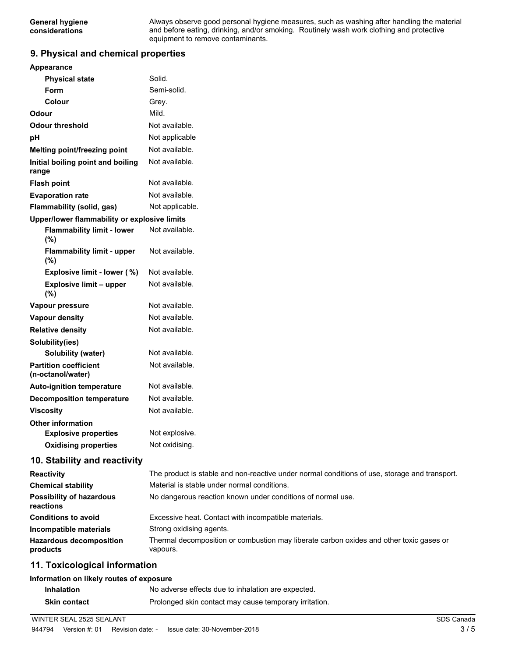Always observe good personal hygiene measures, such as washing after handling the material and before eating, drinking, and/or smoking. Routinely wash work clothing and protective equipment to remove contaminants.

#### **9. Physical and chemical properties**

| Appearance                                        |                                                                                               |
|---------------------------------------------------|-----------------------------------------------------------------------------------------------|
| <b>Physical state</b>                             | Solid.                                                                                        |
| Form                                              | Semi-solid.                                                                                   |
| Colour                                            | Grey.                                                                                         |
| Odour                                             | Mild.                                                                                         |
| <b>Odour threshold</b>                            | Not available.                                                                                |
| рH                                                | Not applicable                                                                                |
| Melting point/freezing point                      | Not available.                                                                                |
| Initial boiling point and boiling<br>range        | Not available.                                                                                |
| <b>Flash point</b>                                | Not available.                                                                                |
| <b>Evaporation rate</b>                           | Not available.                                                                                |
| Flammability (solid, gas)                         | Not applicable.                                                                               |
| Upper/lower flammability or explosive limits      |                                                                                               |
| <b>Flammability limit - lower</b><br>(%)          | Not available.                                                                                |
| <b>Flammability limit - upper</b><br>(%)          | Not available.                                                                                |
| Explosive limit - lower (%)                       | Not available.                                                                                |
| <b>Explosive limit - upper</b><br>(%)             | Not available.                                                                                |
| Vapour pressure                                   | Not available.                                                                                |
| Vapour density                                    | Not available.                                                                                |
| <b>Relative density</b>                           | Not available.                                                                                |
| Solubility(ies)                                   |                                                                                               |
| <b>Solubility (water)</b>                         | Not available.                                                                                |
| <b>Partition coefficient</b><br>(n-octanol/water) | Not available.                                                                                |
| <b>Auto-ignition temperature</b>                  | Not available.                                                                                |
| <b>Decomposition temperature</b>                  | Not available.                                                                                |
| <b>Viscosity</b>                                  | Not available.                                                                                |
| <b>Other information</b>                          |                                                                                               |
| <b>Explosive properties</b>                       | Not explosive                                                                                 |
| <b>Oxidising properties</b>                       | Not oxidising.                                                                                |
| 10. Stability and reactivity                      |                                                                                               |
| <b>Reactivity</b>                                 | The product is stable and non-reactive under normal conditions of use, storage and transport. |
| <b>Chemical stability</b>                         | Material is stable under normal conditions.                                                   |
| <b>Possibility of hazardous</b><br>reactions      | No dangerous reaction known under conditions of normal use.                                   |
| <b>Conditions to avoid</b>                        | Excessive heat. Contact with incompatible materials.                                          |
| Incompatible materials                            | Strong oxidising agents.                                                                      |

## **11. Toxicological information**

**Hazardous decomposition**

**products**

#### **Information on likely routes of exposure**

| <b>Inhalation</b>   | No adverse effects due to inhalation are expected.     |
|---------------------|--------------------------------------------------------|
| <b>Skin contact</b> | Prolonged skin contact may cause temporary irritation. |

Thermal decomposition or combustion may liberate carbon oxides and other toxic gases or

vapours.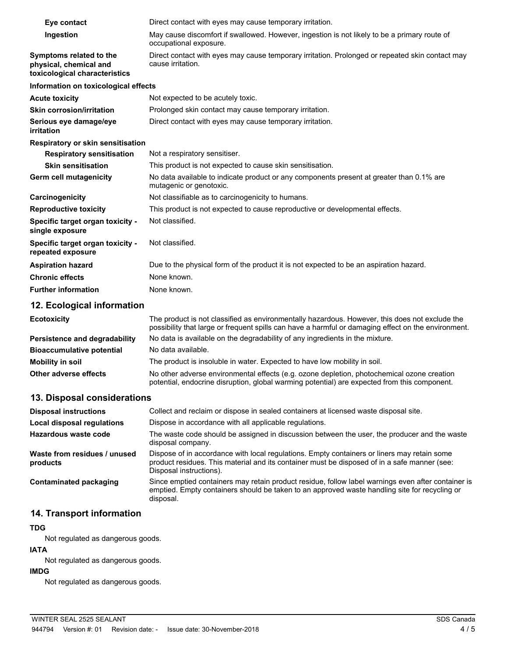| Eye contact                                                                        | Direct contact with eyes may cause temporary irritation.                                                               |
|------------------------------------------------------------------------------------|------------------------------------------------------------------------------------------------------------------------|
| Ingestion                                                                          | May cause discomfort if swallowed. However, ingestion is not likely to be a primary route of<br>occupational exposure. |
| Symptoms related to the<br>physical, chemical and<br>toxicological characteristics | Direct contact with eyes may cause temporary irritation. Prolonged or repeated skin contact may<br>cause irritation.   |
| Information on toxicological effects                                               |                                                                                                                        |
| <b>Acute toxicity</b>                                                              | Not expected to be acutely toxic.                                                                                      |
| <b>Skin corrosion/irritation</b>                                                   | Prolonged skin contact may cause temporary irritation.                                                                 |
| Serious eye damage/eye<br>irritation                                               | Direct contact with eyes may cause temporary irritation.                                                               |
| <b>Respiratory or skin sensitisation</b>                                           |                                                                                                                        |
| <b>Respiratory sensitisation</b>                                                   | Not a respiratory sensitiser.                                                                                          |
| <b>Skin sensitisation</b>                                                          | This product is not expected to cause skin sensitisation.                                                              |
| Germ cell mutagenicity                                                             | No data available to indicate product or any components present at greater than 0.1% are<br>mutagenic or genotoxic.    |
| Carcinogenicity                                                                    | Not classifiable as to carcinogenicity to humans.                                                                      |
| <b>Reproductive toxicity</b>                                                       | This product is not expected to cause reproductive or developmental effects.                                           |
| Specific target organ toxicity -<br>single exposure                                | Not classified.                                                                                                        |
| Specific target organ toxicity -<br>repeated exposure                              | Not classified.                                                                                                        |
| <b>Aspiration hazard</b>                                                           | Due to the physical form of the product it is not expected to be an aspiration hazard.                                 |
| <b>Chronic effects</b>                                                             | None known.                                                                                                            |
| <b>Further information</b>                                                         | None known.                                                                                                            |

#### **12. Ecological information**

| <b>Ecotoxicity</b>               | The product is not classified as environmentally hazardous. However, this does not exclude the<br>possibility that large or frequent spills can have a harmful or damaging effect on the environment. |
|----------------------------------|-------------------------------------------------------------------------------------------------------------------------------------------------------------------------------------------------------|
| Persistence and degradability    | No data is available on the degradability of any ingredients in the mixture.                                                                                                                          |
| <b>Bioaccumulative potential</b> | No data available.                                                                                                                                                                                    |
| Mobility in soil                 | The product is insoluble in water. Expected to have low mobility in soil.                                                                                                                             |
| Other adverse effects            | No other adverse environmental effects (e.g. ozone depletion, photochemical ozone creation<br>potential, endocrine disruption, global warming potential) are expected from this component.            |

## **13. Disposal considerations**

| <b>Disposal instructions</b>             | Collect and reclaim or dispose in sealed containers at licensed waste disposal site.                                                                                                                                   |
|------------------------------------------|------------------------------------------------------------------------------------------------------------------------------------------------------------------------------------------------------------------------|
| <b>Local disposal regulations</b>        | Dispose in accordance with all applicable regulations.                                                                                                                                                                 |
| Hazardous waste code                     | The waste code should be assigned in discussion between the user, the producer and the waste<br>disposal company.                                                                                                      |
| Waste from residues / unused<br>products | Dispose of in accordance with local regulations. Empty containers or liners may retain some<br>product residues. This material and its container must be disposed of in a safe manner (see:<br>Disposal instructions). |
| Contaminated packaging                   | Since emptied containers may retain product residue, follow label warnings even after container is<br>emptied. Empty containers should be taken to an approved waste handling site for recycling or<br>disposal.       |

## **14. Transport information**

#### **TDG**

Not regulated as dangerous goods.

### **IATA**

Not regulated as dangerous goods.

## **IMDG**

Not regulated as dangerous goods.